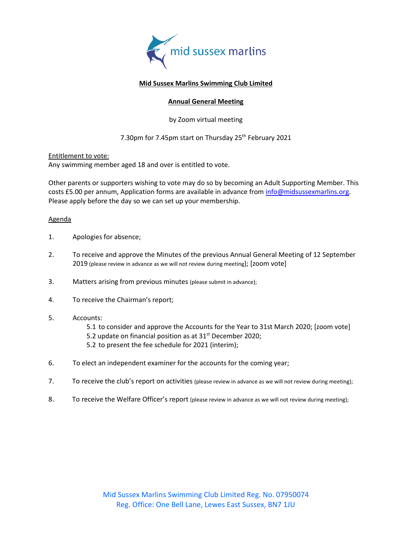

## **Mid Sussex Marlins Swimming Club Limited**

## **Annual General Meeting**

by Zoom virtual meeting

## 7.30pm for 7.45pm start on Thursday 25<sup>th</sup> February 2021

Entitlement to vote: Any swimming member aged 18 and over is entitled to vote.

Other parents or supporters wishing to vote may do so by becoming an Adult Supporting Member. This costs £5.00 per annum, Application forms are available in advance fro[m info@midsussexmarlins.org.](mailto:info@midsussexmarlins.org) Please apply before the day so we can set up your membership.

## Agenda

- 1. Apologies for absence;
- 2. To receive and approve the Minutes of the previous Annual General Meeting of 12 September 2019 (please review in advance as we will not review during meeting); [zoom vote]
- 3. Matters arising from previous minutes (please submit in advance);
- 4. To receive the Chairman's report;
- 5. Accounts:
	- 5.1 to consider and approve the Accounts for the Year to 31st March 2020; [zoom vote]
	- 5.2 update on financial position as at  $31<sup>st</sup>$  December 2020;
	- 5.2 to present the fee schedule for 2021 (interim);
- 6. To elect an independent examiner for the accounts for the coming year;
- 7. To receive the club's report on activities (please review in advance as we will not review during meeting);
- 8. To receive the Welfare Officer's report (please review in advance as we will not review during meeting);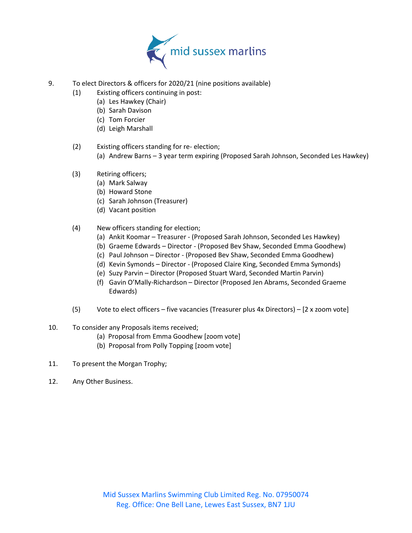

- 9. To elect Directors & officers for 2020/21 (nine positions available)
	- (1) Existing officers continuing in post:
		- (a) Les Hawkey (Chair)
		- (b) Sarah Davison
		- (c) Tom Forcier
		- (d) Leigh Marshall
	- (2) Existing officers standing for re- election;
		- (a) Andrew Barns 3 year term expiring (Proposed Sarah Johnson, Seconded Les Hawkey)
	- (3) Retiring officers;
		- (a) Mark Salway
		- (b) Howard Stone
		- (c) Sarah Johnson (Treasurer)
		- (d) Vacant position
	- (4) New officers standing for election;
		- (a) Ankit Koomar Treasurer (Proposed Sarah Johnson, Seconded Les Hawkey)
		- (b) Graeme Edwards Director (Proposed Bev Shaw, Seconded Emma Goodhew)
		- (c) Paul Johnson Director (Proposed Bev Shaw, Seconded Emma Goodhew)
		- (d) Kevin Symonds Director (Proposed Claire King, Seconded Emma Symonds)
		- (e) Suzy Parvin Director (Proposed Stuart Ward, Seconded Martin Parvin)
		- (f) Gavin O'Mally-Richardson Director (Proposed Jen Abrams, Seconded Graeme Edwards)
	- (5) Vote to elect officers five vacancies (Treasurer plus 4x Directors) [2 x zoom vote]
- 10. To consider any Proposals items received;
	- (a) Proposal from Emma Goodhew [zoom vote]
	- (b) Proposal from Polly Topping [zoom vote]
- 11. To present the Morgan Trophy;
- 12. Any Other Business.